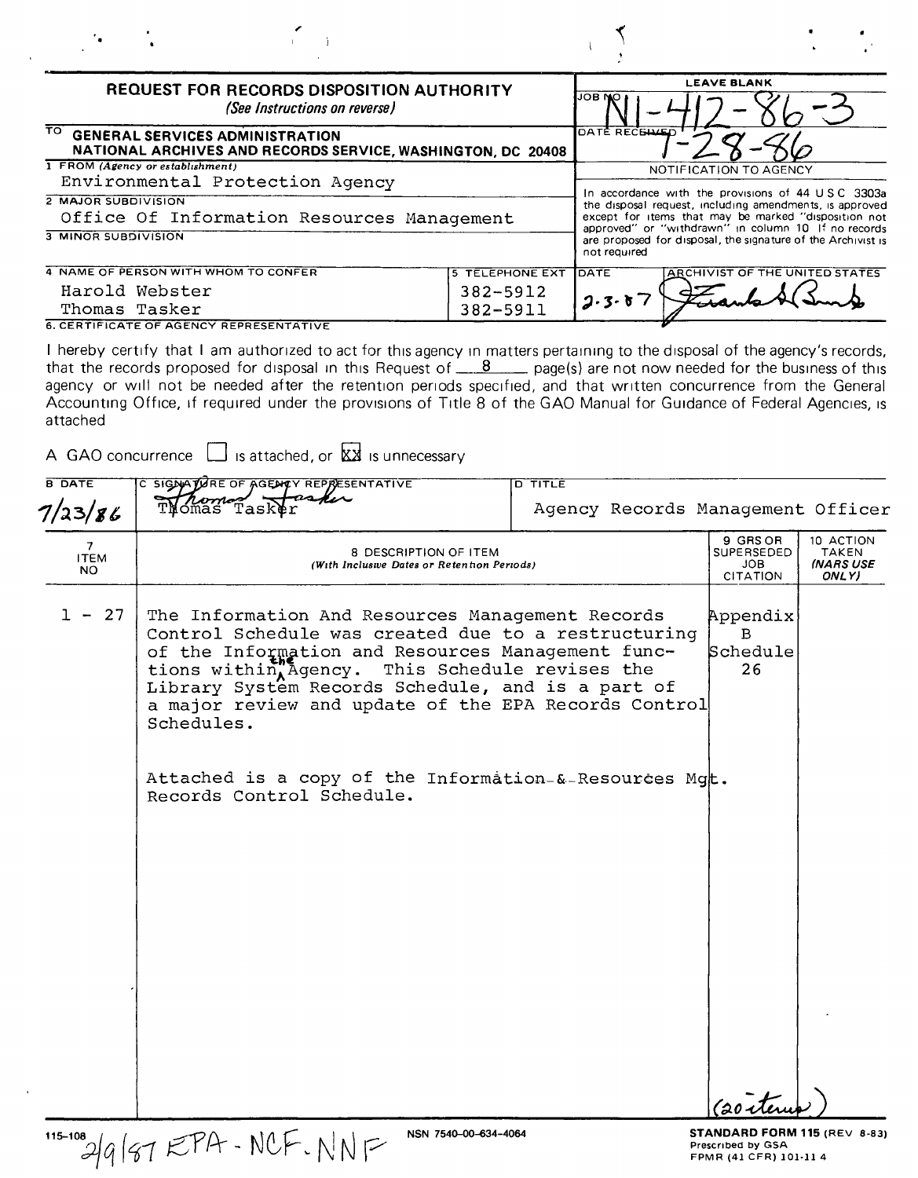|                                                          |                                                                                                                                                                                                                                                                                                                                                                                                                                                                                                                                                                                       |                                                |                |                       | <b>LEAVE BLANK</b>                                                                                                                                                                                                                                                                          |                                          |
|----------------------------------------------------------|---------------------------------------------------------------------------------------------------------------------------------------------------------------------------------------------------------------------------------------------------------------------------------------------------------------------------------------------------------------------------------------------------------------------------------------------------------------------------------------------------------------------------------------------------------------------------------------|------------------------------------------------|----------------|-----------------------|---------------------------------------------------------------------------------------------------------------------------------------------------------------------------------------------------------------------------------------------------------------------------------------------|------------------------------------------|
|                                                          | <b>REQUEST FOR RECORDS DISPOSITION AUTHORITY</b><br>(See Instructions on reverse)                                                                                                                                                                                                                                                                                                                                                                                                                                                                                                     |                                                |                | 10B WC                |                                                                                                                                                                                                                                                                                             |                                          |
| TO.                                                      | <b>GENERAL SERVICES ADMINISTRATION</b><br>NATIONAL ARCHIVES AND RECORDS SERVICE, WASHINGTON, DC 20408                                                                                                                                                                                                                                                                                                                                                                                                                                                                                 |                                                |                | <b>DATE RECEL</b>     |                                                                                                                                                                                                                                                                                             |                                          |
|                                                          | 1 FROM (Agency or establishment)<br>Environmental Protection Agency                                                                                                                                                                                                                                                                                                                                                                                                                                                                                                                   |                                                |                |                       | NOTIFICATION TO AGENCY                                                                                                                                                                                                                                                                      |                                          |
| <b>2 MAJOR SUBDIVISION</b><br><b>3 MINOR SUBDIVISION</b> | Office Of Information Resources Management                                                                                                                                                                                                                                                                                                                                                                                                                                                                                                                                            |                                                |                | not required          | In accordance with the provisions of 44 USC 3303a<br>the disposal request, including amendments, is approved<br>except for items that may be marked "disposition not<br>approved" or "withdrawn" in column 10 If no records<br>are proposed for disposal, the signature of the Archivist is |                                          |
| Thomas Tasker                                            | 4 NAME OF PERSON WITH WHOM TO CONFER<br>Harold Webster<br><b>6. CERTIFICATE OF AGENCY REPRESENTATIVE</b>                                                                                                                                                                                                                                                                                                                                                                                                                                                                              | <b>5 TELEPHONE EXT</b><br>382-5912<br>382-5911 |                | <b>DATE</b><br>2.3.67 | ARCHIVIST OF THE UNITED STATES                                                                                                                                                                                                                                                              |                                          |
| attached<br><b>B DATE</b>                                | I hereby certify that I am authorized to act for this agency in matters pertaining to the disposal of the agency's records,<br>that the records proposed for disposal in this Request of $\_\_\_8$ page(s) are not now needed for the business of this<br>agency or will not be needed after the retention periods specified, and that written concurrence from the General<br>Accounting Office, if required under the provisions of Title 8 of the GAO Manual for Guidance of Federal Agencies, is<br>A GAO concurrence $\Box$ is attached, or $\boxtimes \boxtimes$ is unnecessary |                                                |                |                       |                                                                                                                                                                                                                                                                                             |                                          |
|                                                          | C SIGNATURE OF AGENCY REPRESENTATIVE                                                                                                                                                                                                                                                                                                                                                                                                                                                                                                                                                  |                                                | <b>D TITLE</b> |                       |                                                                                                                                                                                                                                                                                             |                                          |
|                                                          | Task<br>ómas                                                                                                                                                                                                                                                                                                                                                                                                                                                                                                                                                                          |                                                |                |                       | Agency Records Management Officer                                                                                                                                                                                                                                                           |                                          |
| 7/23/86<br>7.<br><b>ITEM</b><br>NO.                      | 8 DESCRIPTION OF ITEM<br>(With Inclusive Dates or Retention Periods)                                                                                                                                                                                                                                                                                                                                                                                                                                                                                                                  |                                                |                |                       | 9 GRS OR<br>SUPERSEDED<br>JOB<br><b>CITATION</b>                                                                                                                                                                                                                                            | 10 ACTION<br>TAKEN<br>(NARS USE<br>ONLY) |

(20 steru

115-100 2/q | 87 EPA - NCF - NNF

 $\mathbf{A}$ 

NSN 7540-00-634-4064<br>
NSN 7540-00-634-4064<br>
FPMR (41 CFR) 101-11 4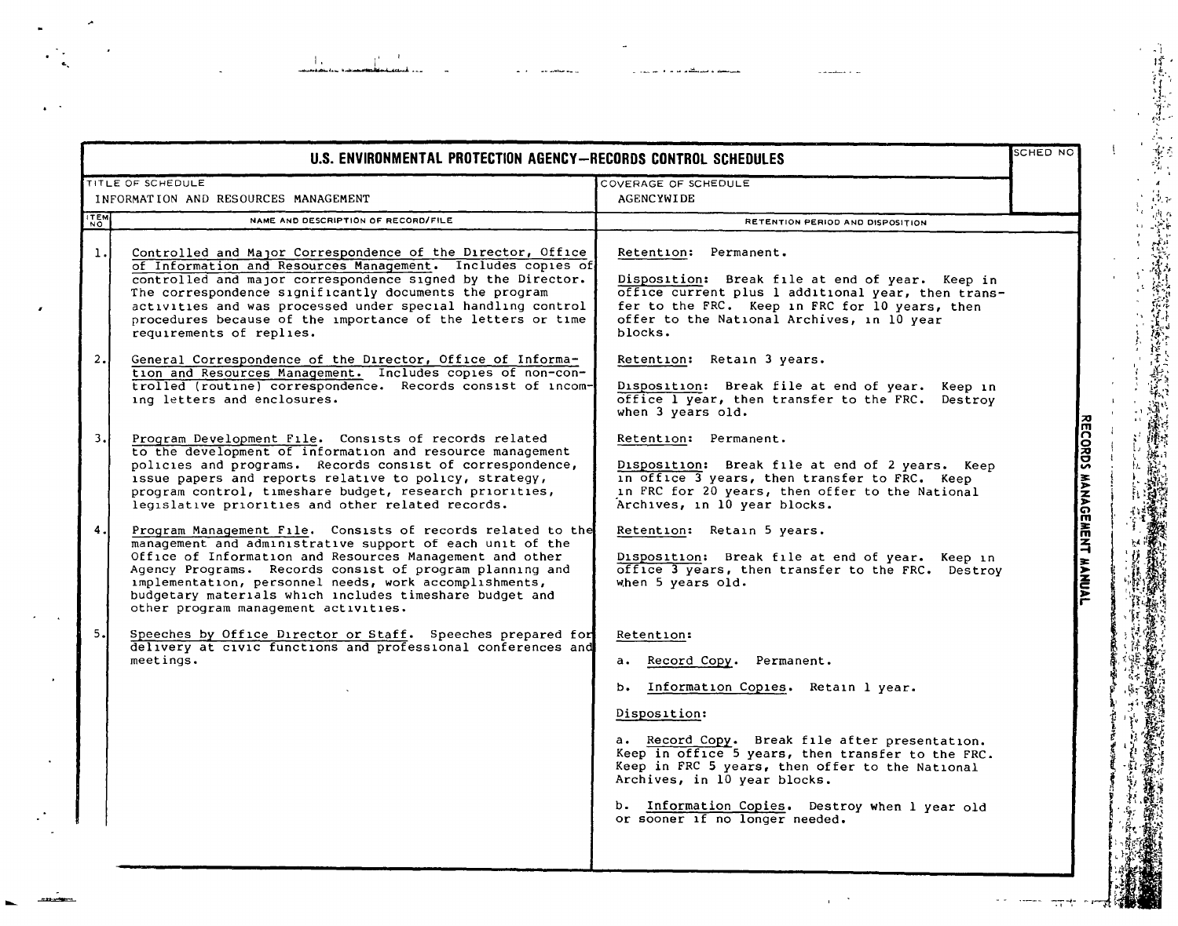|                | U.S. ENVIRONMENTAL PROTECTION AGENCY-RECORDS CONTROL SCHEDULES                                                                                                                                                                                                                                                                                                                                                |                                                                                                                                                                                                                                                                                                                                                                                 | SCHED NO                  |
|----------------|---------------------------------------------------------------------------------------------------------------------------------------------------------------------------------------------------------------------------------------------------------------------------------------------------------------------------------------------------------------------------------------------------------------|---------------------------------------------------------------------------------------------------------------------------------------------------------------------------------------------------------------------------------------------------------------------------------------------------------------------------------------------------------------------------------|---------------------------|
|                | TITLE OF SCHEDULE<br>INFORMATION AND RESOURCES MANAGEMENT                                                                                                                                                                                                                                                                                                                                                     | COVERAGE OF SCHEDULE<br>AGENCYWIDE                                                                                                                                                                                                                                                                                                                                              |                           |
| <b>ITEM</b>    | NAME AND DESCRIPTION OF RECORD/FILE                                                                                                                                                                                                                                                                                                                                                                           | RETENTION PERIOD AND DISPOSITION                                                                                                                                                                                                                                                                                                                                                |                           |
| $\mathbf{1}$ . | Controlled and Major Correspondence of the Director, Office<br>of Information and Resources Management. Includes copies of<br>controlled and major correspondence signed by the Director.<br>The correspondence significantly documents the program<br>activities and was processed under special handling control<br>procedures because of the importance of the letters or time<br>requirements of replies. | Retention: Permanent.<br>Disposition: Break file at end of year. Keep in<br>office current plus 1 additional year, then trans-<br>fer to the FRC. Keep in FRC for 10 years, then<br>offer to the National Archives, in 10 year<br>blocks.                                                                                                                                       |                           |
| 2.1            | General Correspondence of the Director, Office of Informa-<br>tion and Resources Management. Includes copies of non-con-<br>trolled (routine) correspondence. Records consist of incom-<br>ing letters and enclosures.                                                                                                                                                                                        | Retention: Retain 3 years.<br>Disposition: Break file at end of year. Keep in<br>office 1 year, then transfer to the FRC. Destroy<br>when 3 years old.                                                                                                                                                                                                                          |                           |
| 3.I            | Program Development File. Consists of records related<br>to the development of information and resource management<br>policies and programs. Records consist of correspondence,<br>issue papers and reports relative to policy, strategy,<br>program control, timeshare budget, research priorities,<br>legislative priorities and other related records.                                                     | Retention: Permanent.<br>Disposition: Break file at end of 2 years. Keep<br>in office 3 years, then transfer to FRC. Keep<br>in FRC for 20 years, then offer to the National<br>Archives, in 10 year blocks.                                                                                                                                                                    | RECORDS MANAGEMENT MANUAL |
| 4.             | Program Management File. Consists of records related to the<br>management and administrative support of each unit of the<br>Office of Information and Resources Management and other<br>Agency Programs. Records consist of program planning and<br>implementation, personnel needs, work accomplishments,<br>budgetary materials which includes timeshare budget and<br>other program management activities. | Retention: Retain 5 years.<br>Disposition: Break file at end of year. Keep in<br>office 3 years, then transfer to the FRC. Destroy<br>when 5 years old.                                                                                                                                                                                                                         |                           |
| 5.1            | Speeches by Office Director or Staff. Speeches prepared for<br>delivery at civic functions and professional conferences and<br>meetings.                                                                                                                                                                                                                                                                      | Retention:<br>a. Record Copy. Permanent.<br>b. Information Copies. Retain 1 year.<br>Disposition:<br>a. Record Copy. Break file after presentation.<br>Keep in office 5 years, then transfer to the FRC.<br>Keep in FRC 5 years, then offer to the National<br>Archives, in 10 year blocks.<br>b. Information Copies. Destroy when 1 year old<br>or sooner if no longer needed. |                           |

.<br>Laurence en la compositat de la compositat de la compositat de la compositat de la compositat de la composita<br>La compositat de la compositat de la compositat de la compositat de la compositat de la compositat de la comp

 $\epsilon \rightarrow$ 

 $\lambda$ 

 $\mathcal{A}$ 

 $\ddot{\phantom{1}}$ 

 $\bullet$ 

 $\ddot{\phantom{1}}$ 

J.

 $\sim$   $\sim$ 

an ambarata a

الصيطلاء والجميدان

a massimo e las

 $\alpha=2$ 

 $\bar{z}$ 

 $\mathbf{I}$ 

 $\cdot$ 

 $\mathbf{i}$  $\epsilon$  $\mathbf{I}$ 

网络

고..

 $\omega_{\rm{eff}}$ 

 $\frac{1}{2}$  ,  $\frac{1}{2}$  ,  $\frac{1}{2}$  ,  $\frac{1}{2}$  ,  $\frac{1}{2}$  ,  $\frac{1}{2}$  ,  $\frac{1}{2}$  ,  $\frac{1}{2}$  ,  $\frac{1}{2}$  ,  $\frac{1}{2}$  ,  $\frac{1}{2}$  ,  $\frac{1}{2}$  ,  $\frac{1}{2}$  ,  $\frac{1}{2}$  ,  $\frac{1}{2}$  ,  $\frac{1}{2}$  ,  $\frac{1}{2}$  ,  $\frac{1}{2}$  ,  $\frac{1$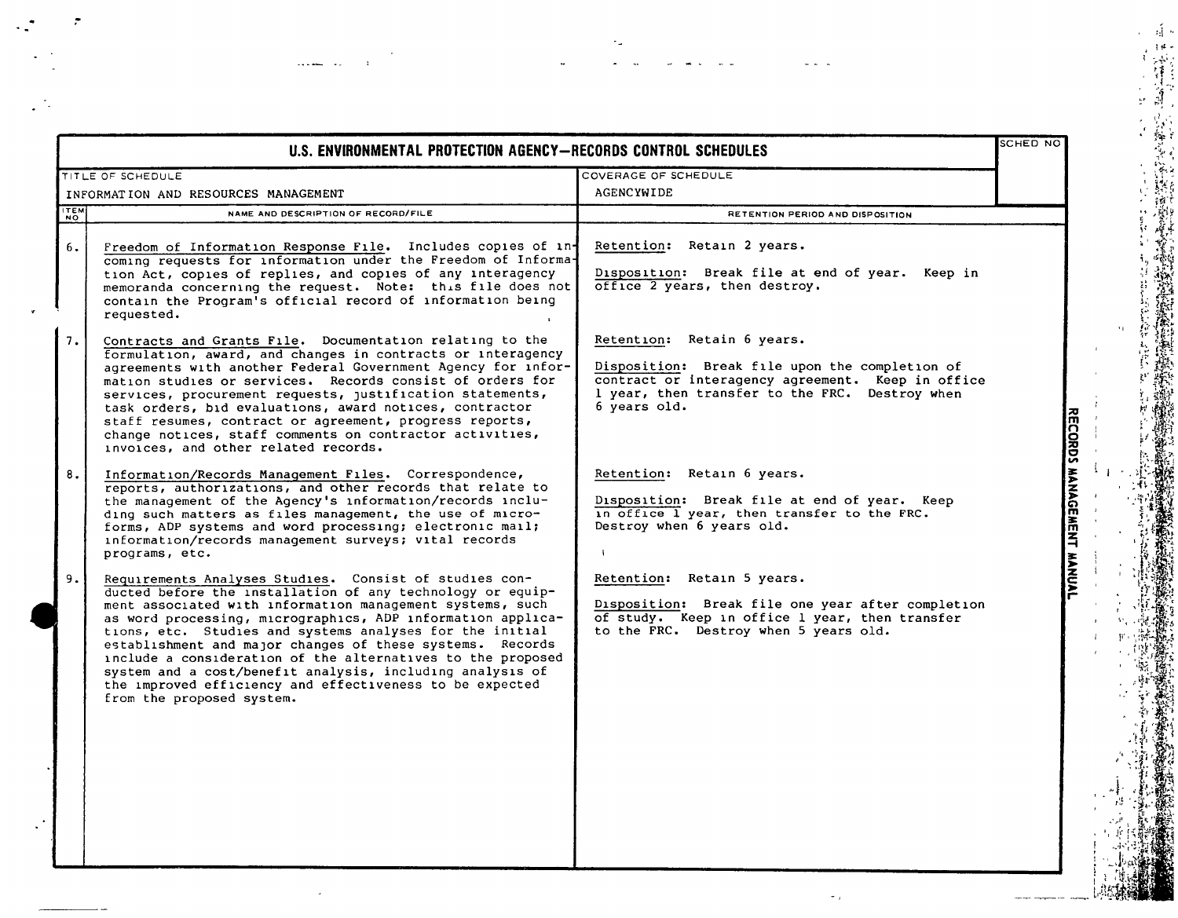| U.S. ENVIRONMENTAL PROTECTION AGENCY-RECORDS CONTROL SCHEDULES |                                                                                                                                                                                                                                                                                                                                                                                                                                                                                                                                                                                                |                                                                                                                                                                                                     |                           |  |
|----------------------------------------------------------------|------------------------------------------------------------------------------------------------------------------------------------------------------------------------------------------------------------------------------------------------------------------------------------------------------------------------------------------------------------------------------------------------------------------------------------------------------------------------------------------------------------------------------------------------------------------------------------------------|-----------------------------------------------------------------------------------------------------------------------------------------------------------------------------------------------------|---------------------------|--|
|                                                                | TITLE OF SCHEDULE                                                                                                                                                                                                                                                                                                                                                                                                                                                                                                                                                                              | COVERAGE OF SCHEDULE                                                                                                                                                                                |                           |  |
|                                                                | INFORMATION AND RESOURCES MANAGEMENT                                                                                                                                                                                                                                                                                                                                                                                                                                                                                                                                                           | AGENCYWIDE                                                                                                                                                                                          |                           |  |
| <b>ITEM</b>                                                    | NAME AND DESCRIPTION OF RECORD/FILE                                                                                                                                                                                                                                                                                                                                                                                                                                                                                                                                                            | <b>RETENTION PERIOD AND DISPOSITION</b>                                                                                                                                                             |                           |  |
| 6.                                                             | Freedom of Information Response File. Includes copies of in-<br>coming requests for information under the Freedom of Informa-<br>tion Act, copies of replies, and copies of any interagency<br>memoranda concerning the request. Note: this file does not<br>contain the Program's official record of information being<br>requested.                                                                                                                                                                                                                                                          | Retention: Retain 2 years.<br>Disposition: Break file at end of year. Keep in<br>office 2 years, then destroy.                                                                                      |                           |  |
| 7.                                                             | Contracts and Grants File. Documentation relating to the<br>formulation, award, and changes in contracts or interagency<br>agreements with another Federal Government Agency for infor-<br>mation studies or services. Records consist of orders for<br>services, procurement requests, justification statements,<br>task orders, bid evaluations, award notices, contractor<br>staff resumes, contract or agreement, progress reports,<br>change notices, staff comments on contractor activities,<br>invoices, and other related records.                                                    | Retention: Retain 6 years.<br>Disposition: Break file upon the completion of<br>contract or interagency agreement. Keep in office<br>1 year, then transfer to the FRC. Destroy when<br>6 years old. |                           |  |
| 8.                                                             | Information/Records Management Files. Correspondence,<br>reports, authorizations, and other records that relate to<br>the management of the Agency's information/records inclu-<br>ding such matters as files management, the use of micro-<br>forms, ADP systems and word processing; electronic mail;<br>information/records management surveys; vital records<br>programs, etc.                                                                                                                                                                                                             | Retention: Retain 6 years.<br>Disposition: Break file at end of year. Keep<br>in office 1 year, then transfer to the FRC.<br>Destroy when 6 years old.                                              | RECORDS MANAGEMENT MANUAL |  |
| 9.                                                             | Requirements Analyses Studies. Consist of studies con-<br>ducted before the installation of any technology or equip-<br>ment associated with information management systems, such<br>as word processing, micrographics, ADP information applica-<br>tions, etc. Studies and systems analyses for the initial<br>establishment and major changes of these systems. Records<br>include a consideration of the alternatives to the proposed<br>system and a cost/benefit analysis, including analysis of<br>the improved efficiency and effectiveness to be expected<br>from the proposed system. | Retention: Retain 5 years.<br>Disposition: Break file one year after completion<br>of study. Keep in office 1 year, then transfer<br>to the FRC. Destroy when 5 years old.                          |                           |  |

 $\epsilon_\mu$ 

 $\mathbb{Z}^2$ 

 $\ddot{\phantom{a}}$ 

 $\frac{1}{2} \left( \frac{1}{2} \right) \left( \frac{1}{2} \right) = \frac{1}{2}$ 

 $\sim$   $_{\rm 0}$ 

 $\sim$ 

 $\bar{\phantom{a}}$ 

 $\label{eq:3} \mathbb{E}_{\mathbf{r}}\left(\mathbf{r},\mathbf{r}\right) = \mathbb{E}_{\mathbf{r}}\left(\mathbf{r},\mathbf{r}\right) = \mathbb{E}_{\mathbf{r}}\left(\mathbf{r},\mathbf{r}\right)$ 

 $\mathcal{A}^{\bullet}$ 

 $\bar{\alpha}$ 

 $\bar{z}$  $\mathbf{r}$  $\frac{1}{4}$  $\mathbf{r}$ 

 $\mathfrak l$ 

ţŗ.

作品<br>一度<br>一週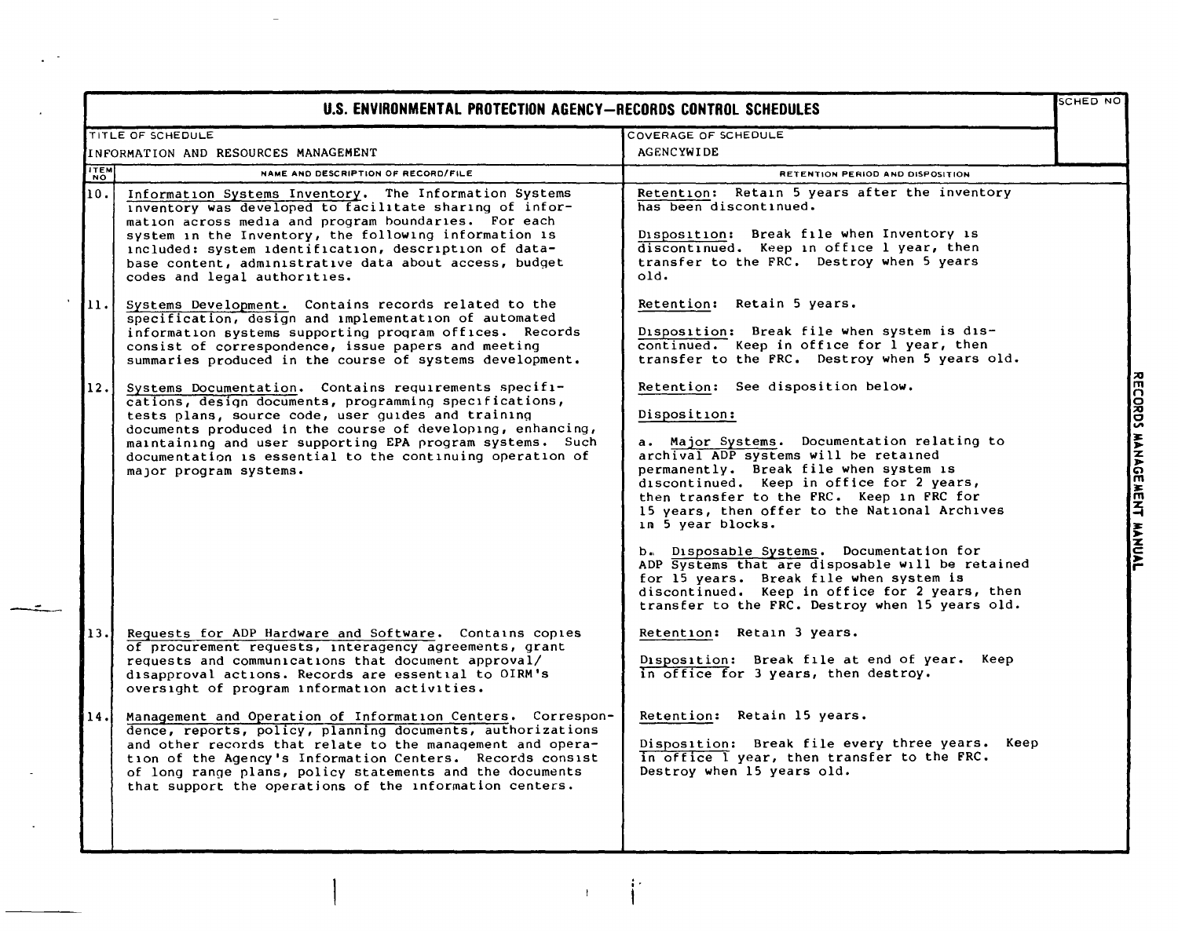|                    | U.S. ENVIRONMENTAL PROTECTION AGENCY-RECORDS CONTROL SCHEDULES                                                                                                                                                                                                                                                                                                                          |                                                                                                                                                                                                                                                                                                                                                                                                                                                                                                                                                                                                     |                           |
|--------------------|-----------------------------------------------------------------------------------------------------------------------------------------------------------------------------------------------------------------------------------------------------------------------------------------------------------------------------------------------------------------------------------------|-----------------------------------------------------------------------------------------------------------------------------------------------------------------------------------------------------------------------------------------------------------------------------------------------------------------------------------------------------------------------------------------------------------------------------------------------------------------------------------------------------------------------------------------------------------------------------------------------------|---------------------------|
|                    | TITLE OF SCHEDULE                                                                                                                                                                                                                                                                                                                                                                       | COVERAGE OF SCHEDULE                                                                                                                                                                                                                                                                                                                                                                                                                                                                                                                                                                                |                           |
|                    | INFORMATION AND RESOURCES MANAGEMENT                                                                                                                                                                                                                                                                                                                                                    | <b>AGENCYWIDE</b>                                                                                                                                                                                                                                                                                                                                                                                                                                                                                                                                                                                   |                           |
| <b>ITEM</b><br>NO. | NAME AND DESCRIPTION OF RECORD/FILE                                                                                                                                                                                                                                                                                                                                                     | RETENTION PERIOD AND DISPOSITION                                                                                                                                                                                                                                                                                                                                                                                                                                                                                                                                                                    |                           |
| 10.1               | Information Systems Inventory. The Information Systems<br>inventory was developed to facilitate sharing of infor-<br>mation across media and program boundaries. For each<br>system in the Inventory, the following information is<br>included: system identification, description of data-<br>base content, administrative data about access, budget<br>codes and legal authorities.   | Retention: Retain 5 years after the inventory<br>has been discontinued.<br>Disposition: Break file when Inventory is<br>discontinued. Keep in office 1 year, then<br>transfer to the FRC. Destroy when 5 years<br>old.                                                                                                                                                                                                                                                                                                                                                                              |                           |
| 11.                | Systems Development. Contains records related to the<br>specification, design and implementation of automated<br>information systems supporting program offices. Records<br>consist of correspondence, issue papers and meeting<br>summaries produced in the course of systems development.                                                                                             | Retention: Retain 5 years.<br>Disposition: Break file when system is dis-<br>continued. Keep in office for 1 year, then<br>transfer to the FRC. Destroy when 5 years old.                                                                                                                                                                                                                                                                                                                                                                                                                           |                           |
| $ 12.1\rangle$     | Systems Documentation. Contains requirements specifi-<br>cations, design documents, programming specifications,<br>tests plans, source code, user guides and training<br>documents produced in the course of developing, enhancing,<br>maintaining and user supporting EPA program systems. Such<br>documentation is essential to the continuing operation of<br>major program systems. | Retention: See disposition below.<br>Disposition:<br>a. Major Systems. Documentation relating to<br>archival ADP systems will be retained<br>permanently. Break file when system is<br>discontinued. Keep in office for 2 years,<br>then transfer to the FRC. Keep in FRC for<br>15 years, then offer to the National Archives<br>in 5 year blocks.<br>b. Disposable Systems. Documentation for<br>ADP Systems that are disposable will be retained<br>for 15 years. Break file when system is<br>discontinued. Keep in office for 2 years, then<br>transfer to the FRC. Destroy when 15 years old. | RECORDS MANAGEMENT MANUAL |
| 13.                | Requests for ADP Hardware and Software. Contains copies<br>of procurement requests, interagency agreements, grant<br>requests and communications that document approval/<br>disapproval actions. Records are essential to OIRM's<br>oversight of program information activities.                                                                                                        | Retention: Retain 3 years.<br>Disposition: Break file at end of year. Keep<br>in office for 3 years, then destroy.                                                                                                                                                                                                                                                                                                                                                                                                                                                                                  |                           |
| 14.1               | Management and Operation of Information Centers. Correspon-<br>dence, reports, policy, planning documents, authorizations<br>and other records that relate to the management and opera-<br>tion of the Agency's Information Centers. Records consist<br>of long range plans, policy statements and the documents<br>that support the operations of the information centers.             | Retention: Retain 15 years.<br>Disposition: Break file every three years. Keep<br>in office I year, then transfer to the FRC.<br>Destroy when 15 years old.                                                                                                                                                                                                                                                                                                                                                                                                                                         |                           |

 $\bar{1}$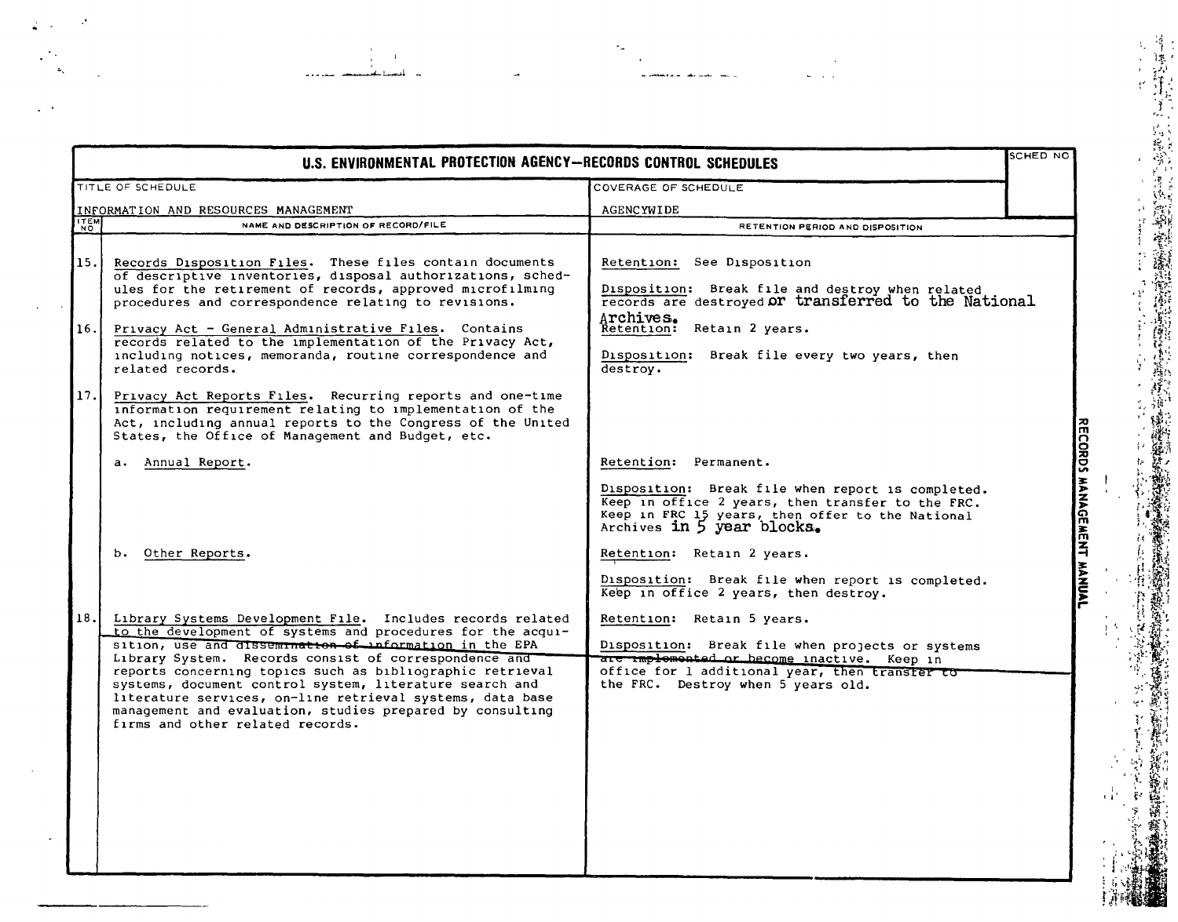|                             | U.S. ENVIRONMENTAL PROTECTION AGENCY-RECORDS CONTROL SCHEDULES                                                                                                                                                                                                                                                                              |                                                                                                                                                                                       |                           |  |
|-----------------------------|---------------------------------------------------------------------------------------------------------------------------------------------------------------------------------------------------------------------------------------------------------------------------------------------------------------------------------------------|---------------------------------------------------------------------------------------------------------------------------------------------------------------------------------------|---------------------------|--|
|                             | TITLE OF SCHEDULE                                                                                                                                                                                                                                                                                                                           | COVERAGE OF SCHEDULE                                                                                                                                                                  |                           |  |
|                             | INFORMATION AND RESOURCES MANAGEMENT                                                                                                                                                                                                                                                                                                        | <b>AGENCYWIDE</b>                                                                                                                                                                     |                           |  |
| $\lceil \frac{1}{N} \rceil$ | NAME AND DESCRIPTION OF RECORD/FILE                                                                                                                                                                                                                                                                                                         | RETENTION PERIOD AND DISPOSITION                                                                                                                                                      |                           |  |
| 15.1                        | Records Disposition Files. These files contain documents<br>of descriptive inventories, disposal authorizations, sched-<br>ules for the retirement of records, approved microfilming<br>procedures and correspondence relating to revisions.                                                                                                | Retention: See Disposition<br>Disposition: Break file and destroy when related<br>records are destroyed or transferred to the National<br>Archives.                                   |                           |  |
| 16.                         | Privacy Act - General Administrative Files. Contains<br>records related to the implementation of the Privacy Act,<br>including notices, memoranda, routine correspondence and<br>related records.                                                                                                                                           | Retention: Retain 2 years.<br>Disposition: Break file every two years, then<br>destroy.                                                                                               |                           |  |
| 17.                         | Privacy Act Reports Files. Recurring reports and one-time<br>information requirement relating to implementation of the<br>Act, including annual reports to the Congress of the United<br>States, the Office of Management and Budget, etc.                                                                                                  |                                                                                                                                                                                       |                           |  |
|                             | a. Annual Report.                                                                                                                                                                                                                                                                                                                           | Retention: Permanent.                                                                                                                                                                 |                           |  |
|                             |                                                                                                                                                                                                                                                                                                                                             | Disposition: Break file when report is completed.<br>Keep in office 2 years, then transfer to the FRC.<br>Keep in FRC 15 years, then offer to the National Archives in 5 year blocks. | RECORDS MANAGEMENT MANUAL |  |
|                             | b. Other Reports.                                                                                                                                                                                                                                                                                                                           | Retention: Retain 2 years.<br>Disposition: Break file when report is completed.<br>Keep in office 2 years, then destroy.                                                              |                           |  |
| 18.                         | Library Systems Development File. Includes records related<br>to the development of systems and procedures for the acqui-<br>sition, use and dissemination of information in the EPA                                                                                                                                                        | Retention: Retain 5 years.<br>Disposition: Break file when projects or systems                                                                                                        |                           |  |
|                             | Library System. Records consist of correspondence and<br>reports concerning topics such as bibliographic retrieval<br>systems, document control system, literature search and<br>literature services, on-line retrieval systems, data base<br>management and evaluation, studies prepared by consulting<br>firms and other related records. | are amplemented or become inactive. Keep in<br>office for 1 additional year, then transfer to<br>the FRC. Destroy when 5 years old.                                                   |                           |  |

 $\gamma_{\mu}$ 

 $\rightarrow$ 

as considered as significant consideration of  $\mathcal{L}_\text{max}$ 

 $\Delta \omega$  $\sim$   $\sim$ 

 $\hat{\mathbf{r}}$  $\frac{1}{2}$ 

سمامية

للدا المستلسف

 $\mathbf{z}_k$ 

 $\sim$ 

 $\mathbf{r} = \mathbf{r}$ 

 $\frac{1}{4}$ 

 $\ddot{\phantom{a}}$ 

ÎΛ

÷,

 $\epsilon_4^{\rm (4)}$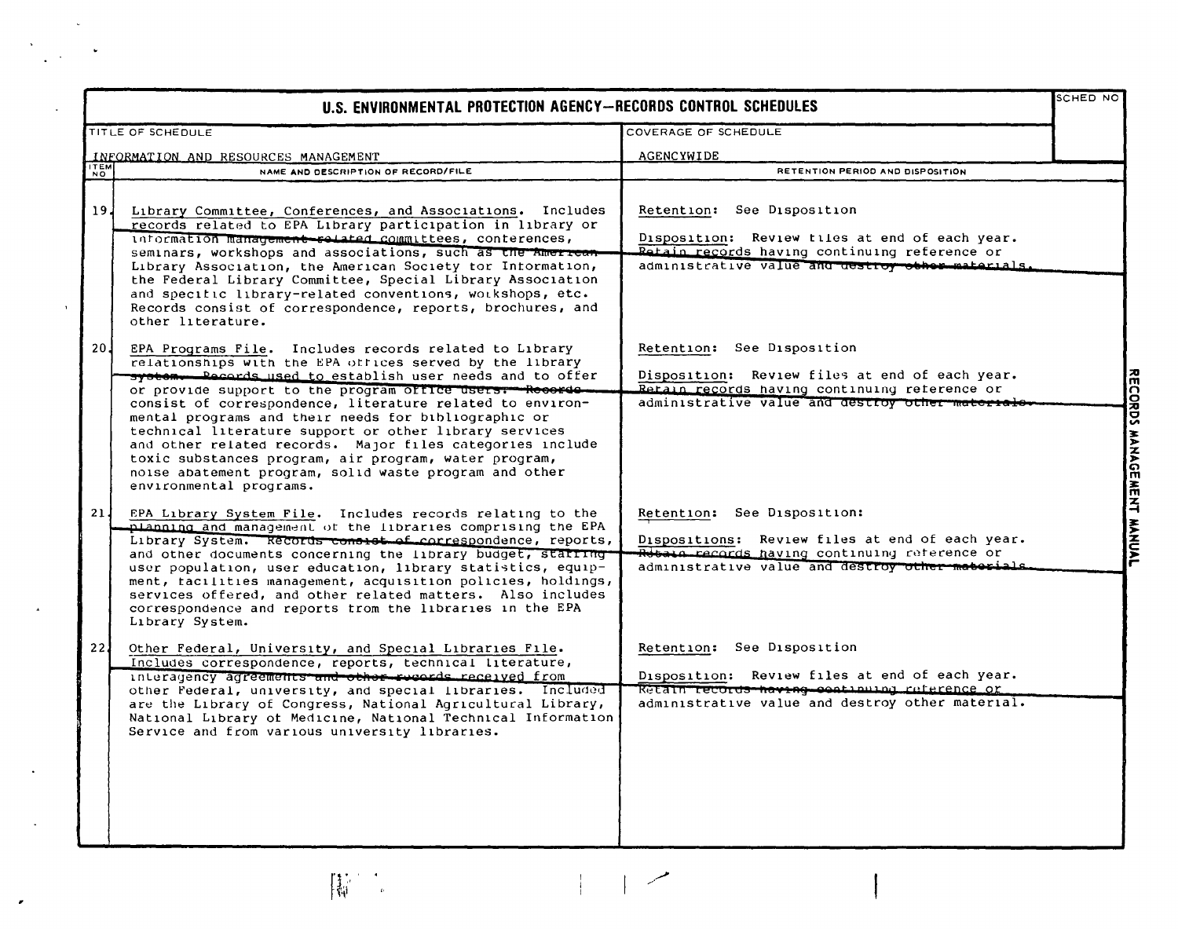| U.S. ENVIRONMENTAL PROTECTION AGENCY-RECORDS CONTROL SCHEDULES |                                                                                                                                                                                                                                                                                                                                                                                                                                                                                                                                                                                                                                      |                                                                                                                                                                                     |  |  |
|----------------------------------------------------------------|--------------------------------------------------------------------------------------------------------------------------------------------------------------------------------------------------------------------------------------------------------------------------------------------------------------------------------------------------------------------------------------------------------------------------------------------------------------------------------------------------------------------------------------------------------------------------------------------------------------------------------------|-------------------------------------------------------------------------------------------------------------------------------------------------------------------------------------|--|--|
|                                                                | TITLE OF SCHEDULE                                                                                                                                                                                                                                                                                                                                                                                                                                                                                                                                                                                                                    | COVERAGE OF SCHEDULE                                                                                                                                                                |  |  |
|                                                                | INFORMATION AND RESOURCES MANAGEMENT                                                                                                                                                                                                                                                                                                                                                                                                                                                                                                                                                                                                 | AGENCYWIDE                                                                                                                                                                          |  |  |
| <b>ITEM</b>                                                    | NAME AND DESCRIPTION OF RECORD/FILE                                                                                                                                                                                                                                                                                                                                                                                                                                                                                                                                                                                                  | RETENTION PERIOD AND DISPOSITION                                                                                                                                                    |  |  |
| ا 19                                                           | Library Committee, Conferences, and Associations. Includes<br>records related to EPA Library participation in library or<br>information management-rolated committees, conterences,<br>seminars, workshops and associations, such as the American<br>Library Association, the American Society tor Intormation,<br>the Federal Library Committee, Special Library Association<br>and specific library-related conventions, workshops, etc.<br>Records consist of correspondence, reports, brochures, and<br>other literature.                                                                                                        | Retention: See Disposition<br>Disposition: Review tiles at end of each year.<br>Retain records having continuing reference or<br>administrative value and destroy other materials.  |  |  |
| 20 <sub>1</sub>                                                | EPA Programs File. Includes records related to Library<br>relationships with the EPA offices served by the library<br>system. Records used to establish user needs and to offer<br>or provide support to the program office users. Recorde<br>consist of correspondence, literature related to environ-<br>mental programs and their needs for bibliographic or<br>technical literature support or other library services<br>and other related records. Major files categories include<br>toxic substances program, air program, water program,<br>noise abatement program, solid waste program and other<br>environmental programs. | Retention: See Disposition<br>Disposition: Review files at end of each year.<br>Retain records having continuing reference or<br>administrative value and destroy other materials   |  |  |
| 21 <sub>1</sub>                                                | EPA Library System File. Includes records relating to the<br>planning and management of the libraries comprising the EPA<br>Library System. Records consist of correspondence, reports,<br>and other documents concerning the library budget, statting<br>user population, user education, library statistics, equip-<br>ment, tacilities management, acquisition policies, holdings,<br>services offered, and other related matters. Also includes<br>correspondence and reports trom the libraries in the EPA<br>Library System.                                                                                                   | Retention: See Disposition:<br>Dispositions: Review files at end of each year.<br>Retain records having continuing reference or<br>administrative value and destroy other materials |  |  |
| 22 J                                                           | Other Federal, University, and Special Libraries File.<br>Includes correspondence, reports, technical literature,<br>interagency agreements and other received from<br>other Federal, university, and special libraries. Included<br>are the Library of Congress, National Agricultural Library,<br>National Library of Medicine, National Technical Information<br>Service and from various university libraries.                                                                                                                                                                                                                   | Retention: See Disposition<br>Disposition: Review files at end of each year.<br>Retain records having continuing reference or<br>administrative value and destroy other material.   |  |  |

 $\mathbf{L}$ 

 $\mathbb{R}^2$ 

[精]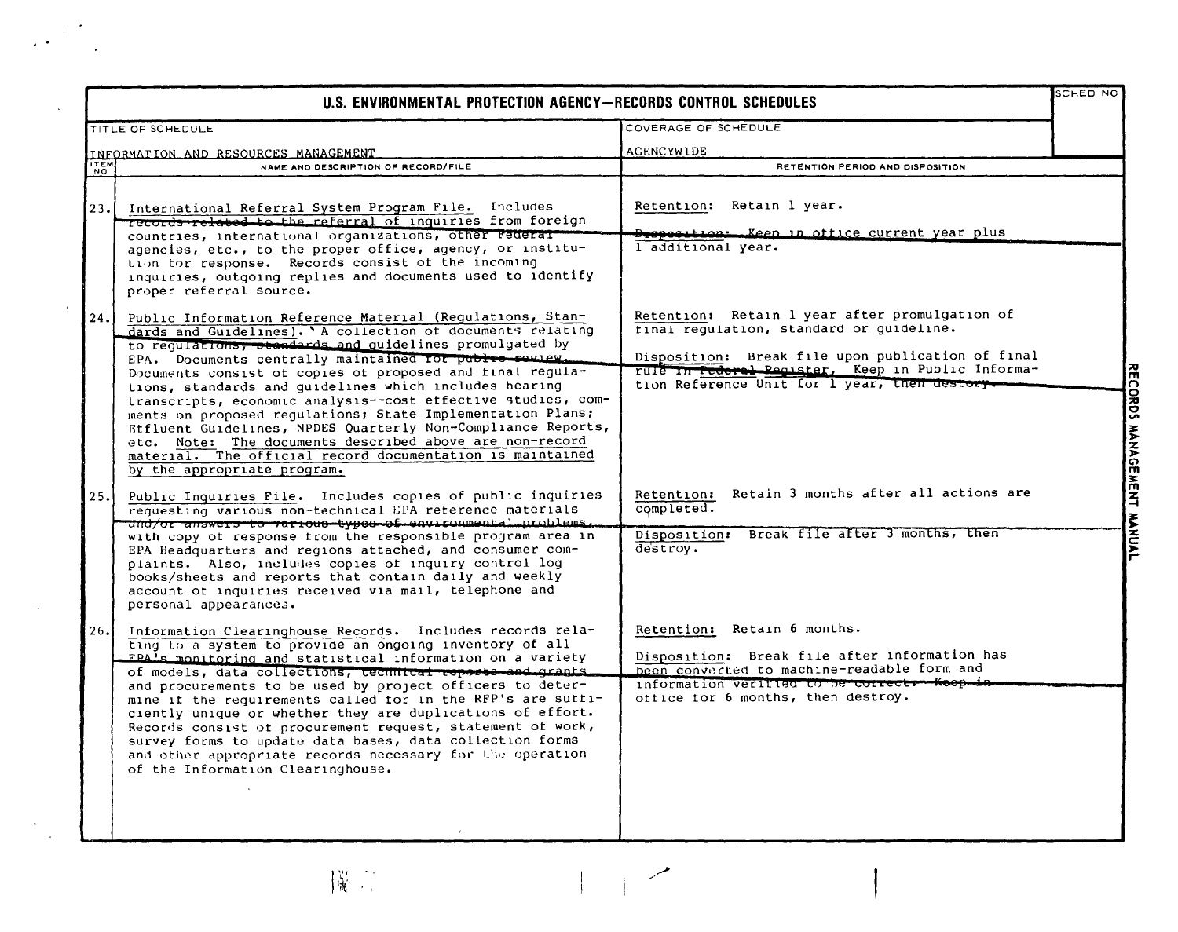|               | U.S. ENVIRONMENTAL PROTECTION AGENCY-RECORDS CONTROL SCHEDULES                                                                                                                                                                                                                                                                                                                                                                                                                                                                                                                                                                                                                                                           |                                                                                                                                                                                                                                                       | <b>SCHED NO</b> |
|---------------|--------------------------------------------------------------------------------------------------------------------------------------------------------------------------------------------------------------------------------------------------------------------------------------------------------------------------------------------------------------------------------------------------------------------------------------------------------------------------------------------------------------------------------------------------------------------------------------------------------------------------------------------------------------------------------------------------------------------------|-------------------------------------------------------------------------------------------------------------------------------------------------------------------------------------------------------------------------------------------------------|-----------------|
|               | <b>TITLE OF SCHEDULE</b>                                                                                                                                                                                                                                                                                                                                                                                                                                                                                                                                                                                                                                                                                                 | COVERAGE OF SCHEDULE                                                                                                                                                                                                                                  |                 |
|               | INFORMATION AND RESOURCES MANAGEMENT                                                                                                                                                                                                                                                                                                                                                                                                                                                                                                                                                                                                                                                                                     | AGENCYWIDE                                                                                                                                                                                                                                            |                 |
| $\frac{1}{N}$ | NAME AND DESCRIPTION OF RECORD/FILE                                                                                                                                                                                                                                                                                                                                                                                                                                                                                                                                                                                                                                                                                      | RETENTION PERIOD AND DISPOSITION                                                                                                                                                                                                                      |                 |
| 23.1          | International Referral System Program File. Includes<br>records-related to the referral of inquiries from foreign<br>countries, international organizations, other rederat<br>agencies, etc., to the proper office, agency, or institu-<br>tion tor response. Records consist of the incoming<br>inquiries, outgoing replies and documents used to identify<br>proper referral source.                                                                                                                                                                                                                                                                                                                                   | Retention: Retain 1 year.<br><del>Droposition: Keep in office current</del> year plus<br>l additional year.                                                                                                                                           |                 |
| 24.1          | Public Information Reference Material (Regulations, Stan-<br>dards and Guidelines). 'A collection of documents relating<br>to regulations, otendards and quidelines promulgated by<br>EPA. Documents centrally maintained for public rousew.<br>Documents consist of copies of proposed and final regula-<br>tions, standards and guidelines which includes hearing<br>transcripts, economic analysis--cost effective studies, com-<br>ments on proposed regulations; State Implementation Plans;<br>Etfluent Guidelines, NPDES Quarterly Non-Compliance Reports,<br>etc. Note: The documents described above are non-record<br>material. The official record documentation is maintained<br>by the appropriate program. | Retention: Retain 1 year after promulgation of<br>tinal regulation, standard or guideline.<br>Disposition: Break file upon publication of final<br>rule In Tederal Register. Keep in Public Informa-<br>tion Reference Unit for 1 year, then destory- |                 |
| 25.           | Public Inquiries File. Includes copies of public inquiries<br>requesting various non-technical EPA reterence materials<br>and/or answers to various twose of environmental problems.<br>with copy of response trom the responsible program area in<br>EPA Headquarters and regions attached, and consumer com-<br>plaints. Also, includes copies of inquiry control log<br>books/sheets and reports that contain daily and weekly<br>account of inquiries received via mail, telephone and<br>personal appearances.                                                                                                                                                                                                      | Retention: Retain 3 months after all actions are<br>completed.<br>Disposition: Break file after 3 months, then<br>destroy.                                                                                                                            |                 |
| 26.1          | Information Clearinghouse Records. Includes records rela-<br>ting to a system to provide an ongoing inventory of all<br>EPAls monitoring and statistical information on a variety<br>of models, data collections, technical reports and grants<br>and procurements to be used by project officers to deter-<br>mine it the requirements called for in the RFP's are suffi-<br>ciently unique or whether they are duplications of effort.<br>Records consist of procurement request, statement of work,<br>survey forms to update data bases, data collection forms<br>and other appropriate records necessary for the operation<br>of the Information Clearinghouse.                                                     | Retention: Retain 6 months.<br>Disposition: Break file after information has<br>been converted to machine-readable form and<br>information verified to be correctr-Koop-in-<br>office for 6 months, then destroy.                                     |                 |

操作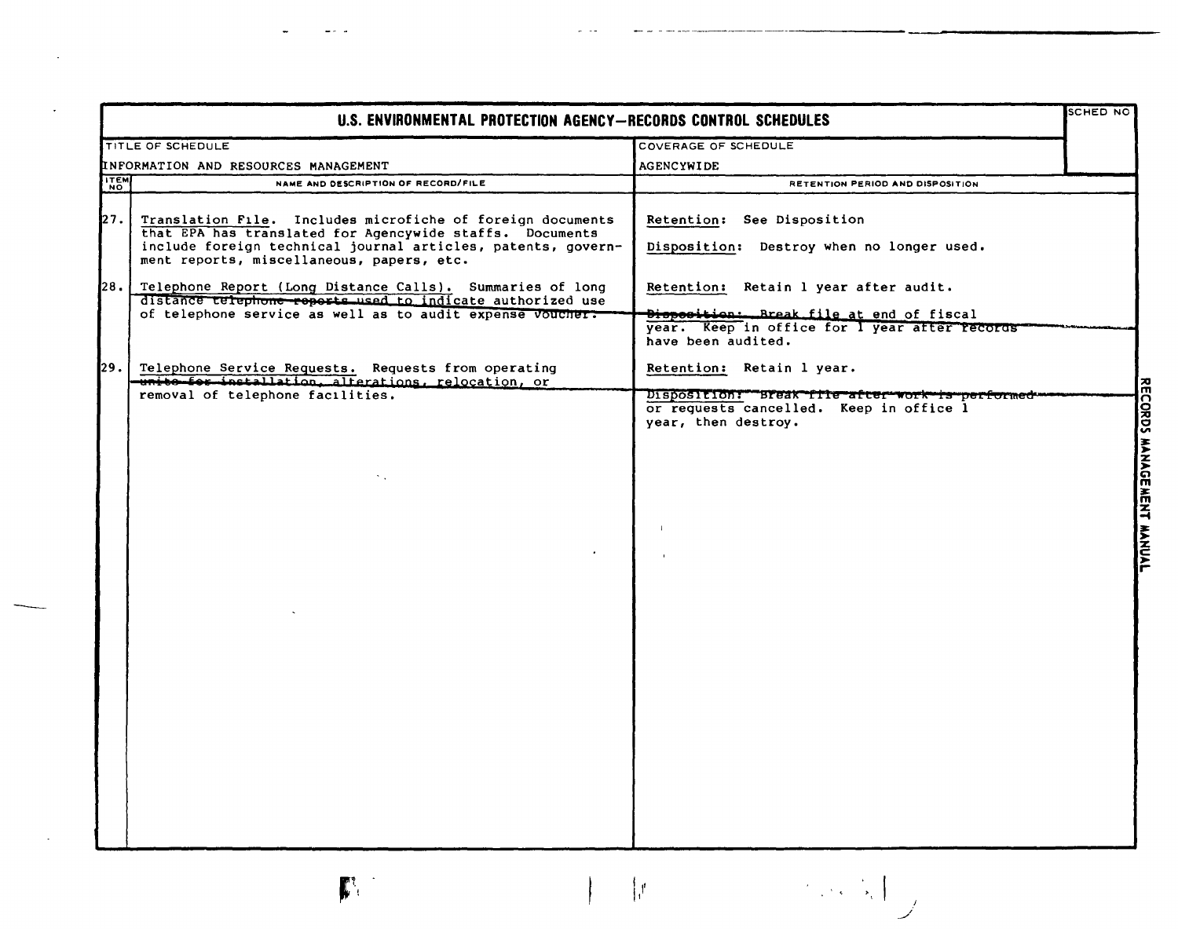|             | U.S. ENVIRONMENTAL PROTECTION AGENCY-RECORDS CONTROL SCHEDULES                                                          |                                                                                                                   |  |
|-------------|-------------------------------------------------------------------------------------------------------------------------|-------------------------------------------------------------------------------------------------------------------|--|
|             | TITLE OF SCHEDULE                                                                                                       | COVERAGE OF SCHEDULE                                                                                              |  |
|             | INFORMATION AND RESOURCES MANAGEMENT                                                                                    | AGENCYWIDE                                                                                                        |  |
| <b>ITEM</b> | NAME AND DESCRIPTION OF RECORD/FILE                                                                                     | RETENTION PERIOD AND DISPOSITION                                                                                  |  |
| 27.         | Translation File. Includes microfiche of foreign documents<br>that EPA has translated for Agencywide staffs. Documents  | Retention: See Disposition                                                                                        |  |
|             | include foreign technical journal articles, patents, govern-<br>ment reports, miscellaneous, papers, etc.               | Disposition: Destroy when no longer used.                                                                         |  |
| I28.I       | Telephone Report (Long Distance Calls). Summaries of long<br>distance telephone reports used to indicate authorized use | Retention: Retain 1 year after audit.                                                                             |  |
|             | of telephone service as well as to audit expense voucher:                                                               | Disposition: Break file at end of fiscal<br>year. Keep in office for I year after records<br>have been audited.   |  |
| I29.        | Telephone Service Requests. Requests from operating<br>-unito for installation, alterations, relocation, or             | Retention: Retain 1 year.                                                                                         |  |
|             | removal of telephone facilities.                                                                                        | Disposition: Break file after work is performed<br>or requests cancelled. Keep in office 1<br>year, then destroy. |  |
|             |                                                                                                                         |                                                                                                                   |  |
|             |                                                                                                                         |                                                                                                                   |  |
|             |                                                                                                                         |                                                                                                                   |  |
|             |                                                                                                                         |                                                                                                                   |  |
|             |                                                                                                                         |                                                                                                                   |  |
|             |                                                                                                                         |                                                                                                                   |  |
|             |                                                                                                                         |                                                                                                                   |  |
|             |                                                                                                                         |                                                                                                                   |  |
|             |                                                                                                                         |                                                                                                                   |  |
|             |                                                                                                                         |                                                                                                                   |  |
|             |                                                                                                                         |                                                                                                                   |  |
|             |                                                                                                                         |                                                                                                                   |  |
|             | $\mathbf{r}$                                                                                                            | $\mathcal{E}$                                                                                                     |  |

 $\omega_{\rm{c}}$  and

man and the man man come

 $\sim$ 

 $\mathcal{L}^{\text{max}}_{\text{max}}$  and  $\mathcal{L}^{\text{max}}_{\text{max}}$ 

 $\alpha$  , and  $\alpha$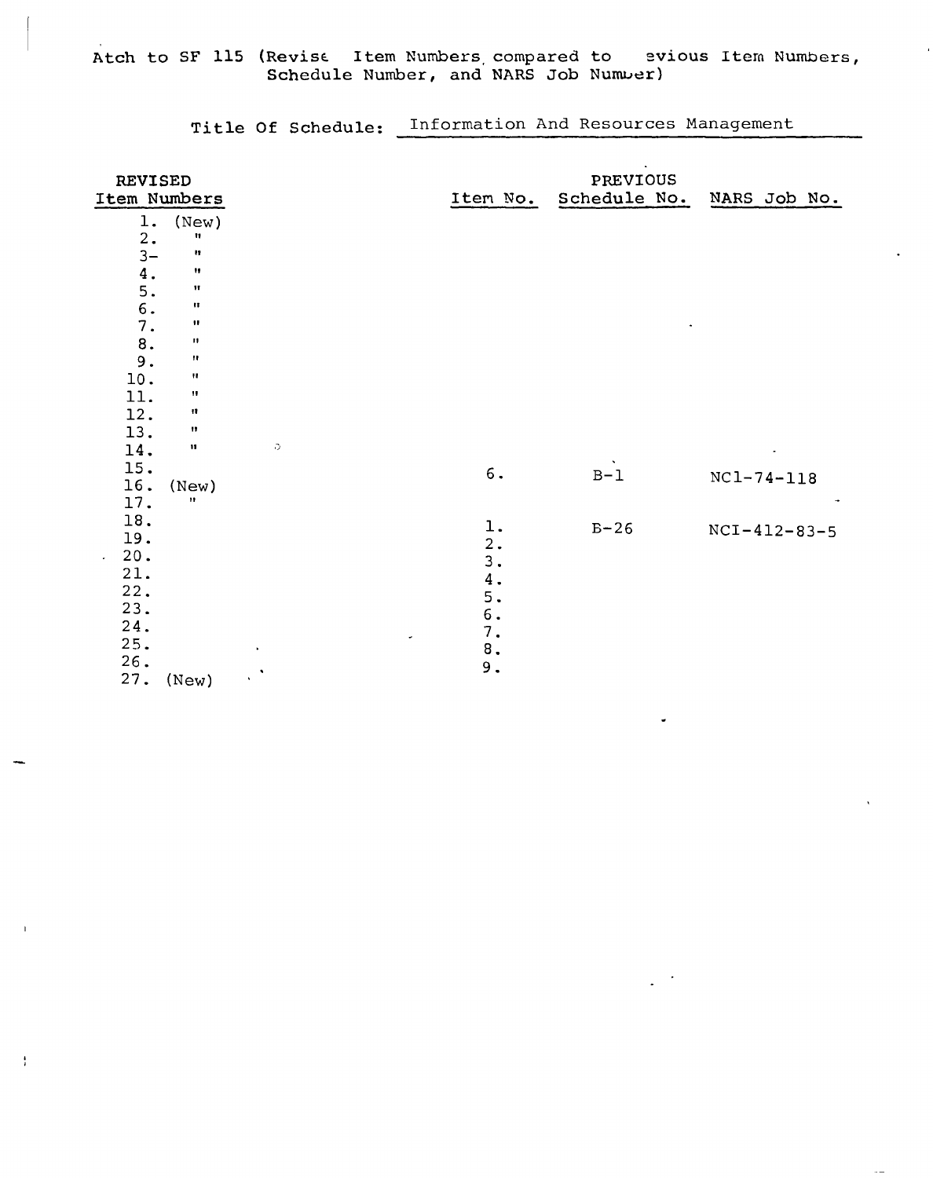Atch to SF 115 (Revise Item Numbers compared to evious Item Numbers, Schedule Number, and NARS Job Number)

Title Of Schedule: Information And Resources Management

| REVISED<br>Item Numbers |                      |                 | Item No.  | $\bullet$<br>PREVIOUS<br>Schedule No. | NARS Job No.     |
|-------------------------|----------------------|-----------------|-----------|---------------------------------------|------------------|
| $1$ .                   | (New)                |                 |           |                                       |                  |
| 2.                      | 11                   |                 |           |                                       |                  |
| $3-$                    | Ħ                    |                 |           |                                       |                  |
| 4.                      | Ħ                    |                 |           |                                       |                  |
| 5.                      | Ħ                    |                 |           |                                       |                  |
| $\mathbf 6$ .           | $\pmb{\mathfrak{m}}$ |                 |           |                                       |                  |
| 7.                      | $\pmb{\mathfrak{m}}$ |                 |           |                                       |                  |
| $\bf 8$ .               | п                    |                 |           |                                       |                  |
| 9.                      | Ħ                    |                 |           |                                       |                  |
| 10.                     | $\pmb{\Pi}$          |                 |           |                                       |                  |
| 11.                     | $\pmb{\mathsf{H}}$   |                 |           |                                       |                  |
| 12.                     | n                    |                 |           |                                       |                  |
| 13.                     | 11                   |                 |           |                                       |                  |
| 14.                     | $\mathbf{11}$        | C.              |           |                                       |                  |
| 15.                     |                      |                 | $6$ .     | $B-1$                                 |                  |
| 16.                     | (New)                |                 |           |                                       | $NC1 - 74 - 118$ |
| 17.                     | 11                   |                 |           |                                       |                  |
| 18.                     |                      |                 | $1\,.$    | $B-26$                                |                  |
| 19.                     |                      |                 | 2.        |                                       | $NCI-412-83-5$   |
| 20.<br>$\sim$           |                      |                 | 3.        |                                       |                  |
| 21.                     |                      |                 | $4$ .     |                                       |                  |
| 22.                     |                      |                 | 5.        |                                       |                  |
| 23.                     |                      |                 | $\,6$ .   |                                       |                  |
| 24.                     |                      |                 | 7.        |                                       |                  |
| 25.                     |                      | ä,<br>$\bullet$ | $\bf 8$ . |                                       |                  |
| 26.                     |                      |                 | $9$ .     |                                       |                  |
| 27.                     | (New)                | уX,             |           |                                       |                  |

 $\frac{1}{2}$